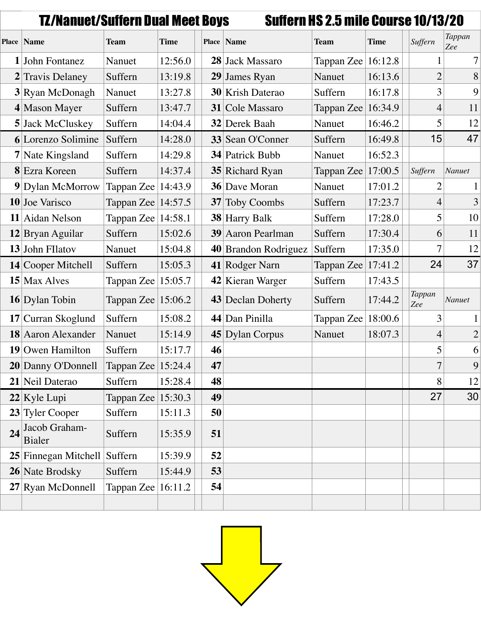|    | TZ/Nanuet/Suffern Dual Meet Boys          |                        |             |    |                          | <b>Suffern HS 2.5 mile Course 10/13/20</b> |             |                |                |
|----|-------------------------------------------|------------------------|-------------|----|--------------------------|--------------------------------------------|-------------|----------------|----------------|
|    | <b>Place Name</b>                         | <b>Team</b>            | <b>Time</b> |    | Place   Name             | <b>Team</b>                                | <b>Time</b> | Suffern        | Tappan<br>Zee  |
|    | 1 John Fontanez                           | Nanuet                 | 12:56.0     |    | 28 Jack Massaro          | Tappan Zee $ 16:12.8$                      |             |                | $\overline{7}$ |
|    | 2 Travis Delaney                          | Suffern                | 13:19.8     |    | 29 James Ryan            | Nanuet                                     | 16:13.6     | $\overline{2}$ | 8              |
|    | $3$ Ryan McDonagh                         | Nanuet                 | 13:27.8     |    | 30 Krish Daterao         | Suffern                                    | 16:17.8     | 3              | 9              |
|    | $4$ Mason Mayer                           | Suffern                | 13:47.7     |    | 31 Cole Massaro          | Tappan Zee                                 | 16:34.9     | $\overline{4}$ | 11             |
|    | <b>5</b> Jack McCluskey                   | Suffern                | 14:04.4     |    | 32 Derek Baah            | Nanuet                                     | 16:46.2     | 5              | 12             |
|    | 6 Lorenzo Solimine                        | Suffern                | 14:28.0     |    | 33 Sean O'Conner         | Suffern                                    | 16:49.8     | 15             | 47             |
|    | $7$ Nate Kingsland                        | Suffern                | 14:29.8     |    | <b>34</b> Patrick Bubb   | Nanuet                                     | 16:52.3     |                |                |
|    | 8 Ezra Koreen                             | Suffern                | 14:37.4     |    | <b>35</b> Richard Ryan   | Tappan Zee                                 | 17:00.5     | Suffern        | Nanuet         |
|    | 9 Dylan McMorrow                          | Tappan Zee   14:43.9   |             |    | <b>36</b> Dave Moran     | Nanuet                                     | 17:01.2     | $\overline{2}$ | $\mathbf 1$    |
|    | 10 Joe Varisco                            | Tappan Zee $ 14:57.5$  |             | 37 | <b>Toby Coombs</b>       | Suffern                                    | 17:23.7     | $\overline{4}$ | 3              |
|    | 11 Aidan Nelson                           | Tappan Zee   14:58.1   |             |    | 38 Harry Balk            | Suffern                                    | 17:28.0     | 5              | 10             |
|    | $12$ Bryan Aguilar                        | Suffern                | 15:02.6     |    | <b>39</b> Aaron Pearlman | Suffern                                    | 17:30.4     | 6              | 11             |
|    | 13 John Fllatov                           | Nanuet                 | 15:04.8     |    | 40 Brandon Rodriguez     | Suffern                                    | 17:35.0     | 7              | 12             |
|    | 14 Cooper Mitchell                        | Suffern                | 15:05.3     |    | 41 Rodger Narn           | Tappan Zee                                 | 17:41.2     | 24             | 37             |
|    | 15 Max Alves                              | Tappan Zee   15:05.7   |             |    | 42 Kieran Warger         | Suffern                                    | 17:43.5     |                |                |
|    | <b>16</b> Dylan Tobin                     | Tappan Zee $ 15:06.2$  |             |    | <b>43</b> Declan Doherty | Suffern                                    | 17:44.2     | Tappan<br>Zee  | Nanuet         |
|    | 17 Curran Skoglund                        | Suffern                | 15:08.2     |    | 44 Dan Pinilla           | Tappan Zee $ 18:00.6$                      |             | 3              | $\mathbf{1}$   |
|    | 18 Aaron Alexander                        | Nanuet                 | 15:14.9     |    | 45 Dylan Corpus          | Nanuet                                     | 18:07.3     | $\overline{4}$ | $\overline{c}$ |
|    | <b>19</b> Owen Hamilton                   | Suffern                | 15:17.7     | 46 |                          |                                            |             | 5              | 6              |
|    | 20 Danny O'Donnell   Tappan Zee   15:24.4 |                        |             | 47 |                          |                                            |             | 7              | 9              |
|    | 21 Neil Daterao                           | Suffern                | 15:28.4     | 48 |                          |                                            |             | 8              | 12             |
|    | $22$ Kyle Lupi                            | Tappan Zee $ 15:30.3 $ |             | 49 |                          |                                            |             | 27             | 30             |
|    | 23 Tyler Cooper                           | Suffern                | 15:11.3     | 50 |                          |                                            |             |                |                |
| 24 | Jacob Graham-<br><b>Bialer</b>            | Suffern                | 15:35.9     | 51 |                          |                                            |             |                |                |
|    | 25 Finnegan Mitchell Suffern              |                        | 15:39.9     | 52 |                          |                                            |             |                |                |
|    | 26 Nate Brodsky                           | Suffern                | 15:44.9     | 53 |                          |                                            |             |                |                |
|    | 27 Ryan McDonnell                         | Tappan Zee $ 16:11.2$  |             | 54 |                          |                                            |             |                |                |
|    |                                           |                        |             |    |                          |                                            |             |                |                |